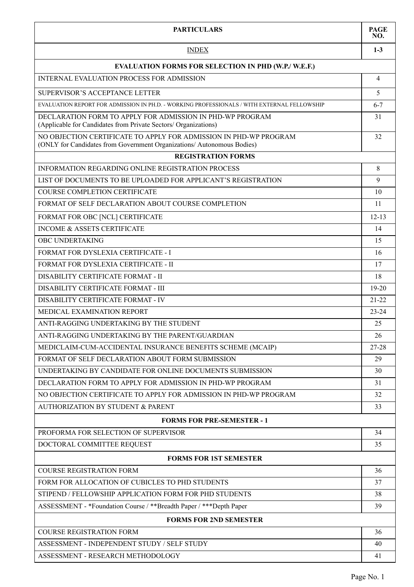| <b>PARTICULARS</b>                                                                                                                          | <b>PAGE</b><br>NO. |  |
|---------------------------------------------------------------------------------------------------------------------------------------------|--------------------|--|
| <b>INDEX</b>                                                                                                                                | $1 - 3$            |  |
| <b>EVALUATION FORMS FOR SELECTION IN PHD (W.P./ W.E.F.)</b>                                                                                 |                    |  |
| INTERNAL EVALUATION PROCESS FOR ADMISSION                                                                                                   | 4                  |  |
| SUPERVISOR'S ACCEPTANCE LETTER                                                                                                              | 5                  |  |
| EVALUATION REPORT FOR ADMISSION IN PH.D. - WORKING PROFESSIONALS / WITH EXTERNAL FELLOWSHIP                                                 | $6 - 7$            |  |
| DECLARATION FORM TO APPLY FOR ADMISSION IN PHD-WP PROGRAM<br>(Applicable for Candidates from Private Sectors/ Organizations)                | 31                 |  |
| NO OBJECTION CERTIFICATE TO APPLY FOR ADMISSION IN PHD-WP PROGRAM<br>(ONLY for Candidates from Government Organizations/ Autonomous Bodies) | 32                 |  |
| <b>REGISTRATION FORMS</b>                                                                                                                   |                    |  |
| INFORMATION REGARDING ONLINE REGISTRATION PROCESS                                                                                           | 8                  |  |
| LIST OF DOCUMENTS TO BE UPLOADED FOR APPLICANT'S REGISTRATION                                                                               | 9                  |  |
| <b>COURSE COMPLETION CERTIFICATE</b>                                                                                                        | 10                 |  |
| FORMAT OF SELF DECLARATION ABOUT COURSE COMPLETION                                                                                          | 11                 |  |
| FORMAT FOR OBC [NCL] CERTIFICATE                                                                                                            | $12 - 13$          |  |
| <b>INCOME &amp; ASSETS CERTIFICATE</b>                                                                                                      | 14                 |  |
| OBC UNDERTAKING                                                                                                                             | 15                 |  |
| FORMAT FOR DYSLEXIA CERTIFICATE - I                                                                                                         | 16                 |  |
| FORMAT FOR DYSLEXIA CERTIFICATE - II                                                                                                        | 17                 |  |
| DISABILITY CERTIFICATE FORMAT - II                                                                                                          | 18                 |  |
| DISABILITY CERTIFICATE FORMAT - III                                                                                                         | $19-20$            |  |
| DISABILITY CERTIFICATE FORMAT - IV                                                                                                          | $21 - 22$          |  |
| MEDICAL EXAMINATION REPORT                                                                                                                  | $23 - 24$          |  |
| ANTI-RAGGING UNDERTAKING BY THE STUDENT                                                                                                     | 25                 |  |
| ANTI-RAGGING UNDERTAKING BY THE PARENT/GUARDIAN                                                                                             | 26                 |  |
| MEDICLAIM-CUM-ACCIDENTAL INSURANCE BENEFITS SCHEME (MCAIP)                                                                                  | 27-28              |  |
| FORMAT OF SELF DECLARATION ABOUT FORM SUBMISSION                                                                                            | 29                 |  |
| UNDERTAKING BY CANDIDATE FOR ONLINE DOCUMENTS SUBMISSION                                                                                    | 30                 |  |
| DECLARATION FORM TO APPLY FOR ADMISSION IN PHD-WP PROGRAM                                                                                   | 31                 |  |
| NO OBJECTION CERTIFICATE TO APPLY FOR ADMISSION IN PHD-WP PROGRAM                                                                           | 32                 |  |
| AUTHORIZATION BY STUDENT & PARENT                                                                                                           | 33                 |  |
| <b>FORMS FOR PRE-SEMESTER - 1</b>                                                                                                           |                    |  |
| PROFORMA FOR SELECTION OF SUPERVISOR                                                                                                        | 34                 |  |
| DOCTORAL COMMITTEE REQUEST                                                                                                                  | 35                 |  |
| <b>FORMS FOR 1ST SEMESTER</b>                                                                                                               |                    |  |
| <b>COURSE REGISTRATION FORM</b>                                                                                                             | 36                 |  |
| FORM FOR ALLOCATION OF CUBICLES TO PHD STUDENTS                                                                                             | 37                 |  |
| STIPEND / FELLOWSHIP APPLICATION FORM FOR PHD STUDENTS                                                                                      | 38                 |  |
| ASSESSMENT - *Foundation Course / **Breadth Paper / ***Depth Paper                                                                          | 39                 |  |
| <b>FORMS FOR 2ND SEMESTER</b>                                                                                                               |                    |  |
| COURSE REGISTRATION FORM                                                                                                                    | 36                 |  |
| ASSESSMENT - INDEPENDENT STUDY / SELF STUDY                                                                                                 | 40                 |  |
| ASSESSMENT - RESEARCH METHODOLOGY                                                                                                           | 41                 |  |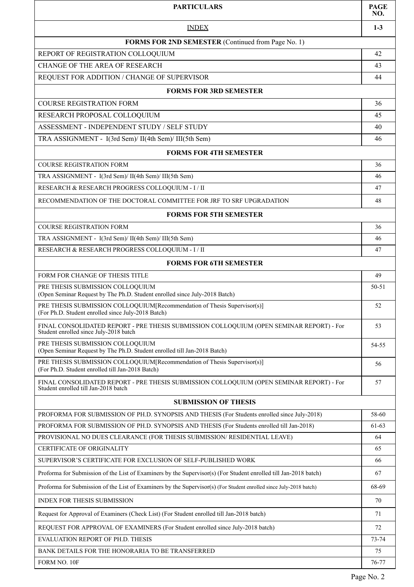| <b>PARTICULARS</b>                                                                                                                 | <b>PAGE</b><br>NO. |  |
|------------------------------------------------------------------------------------------------------------------------------------|--------------------|--|
| <b>INDEX</b>                                                                                                                       | $1-3$              |  |
| FORMS FOR 2ND SEMESTER (Continued from Page No. 1)                                                                                 |                    |  |
| REPORT OF REGISTRATION COLLOQUIUM                                                                                                  | 42                 |  |
| CHANGE OF THE AREA OF RESEARCH                                                                                                     | 43                 |  |
| REQUEST FOR ADDITION / CHANGE OF SUPERVISOR                                                                                        | 44                 |  |
| <b>FORMS FOR 3RD SEMESTER</b>                                                                                                      |                    |  |
| <b>COURSE REGISTRATION FORM</b>                                                                                                    | 36                 |  |
| RESEARCH PROPOSAL COLLOQUIUM                                                                                                       | 45                 |  |
| ASSESSMENT - INDEPENDENT STUDY / SELF STUDY                                                                                        | 40                 |  |
| TRA ASSIGNMENT - I(3rd Sem)/ II(4th Sem)/ III(5th Sem)                                                                             | 46                 |  |
| <b>FORMS FOR 4TH SEMESTER</b>                                                                                                      |                    |  |
| <b>COURSE REGISTRATION FORM</b>                                                                                                    | 36                 |  |
| TRA ASSIGNMENT - I(3rd Sem)/ II(4th Sem)/ III(5th Sem)                                                                             | 46                 |  |
| RESEARCH & RESEARCH PROGRESS COLLOQUIUM - I / II                                                                                   | 47                 |  |
| RECOMMENDATION OF THE DOCTORAL COMMITTEE FOR JRF TO SRF UPGRADATION                                                                | 48                 |  |
| <b>FORMS FOR 5TH SEMESTER</b>                                                                                                      |                    |  |
| <b>COURSE REGISTRATION FORM</b>                                                                                                    | 36                 |  |
| TRA ASSIGNMENT - I(3rd Sem)/ II(4th Sem)/ III(5th Sem)                                                                             | 46                 |  |
| RESEARCH & RESEARCH PROGRESS COLLOQUIUM - I/II                                                                                     | 47                 |  |
| <b>FORMS FOR 6TH SEMESTER</b>                                                                                                      |                    |  |
| FORM FOR CHANGE OF THESIS TITLE                                                                                                    | 49                 |  |
| PRE THESIS SUBMISSION COLLOQUIUM<br>(Open Seminar Request by The Ph.D. Student enrolled since July-2018 Batch)                     | 50-51              |  |
| PRE THESIS SUBMISSION COLLOQUIUM [Recommendation of Thesis Supervisor(s)]<br>(For Ph.D. Student enrolled since July-2018 Batch)    | 52                 |  |
| FINAL CONSOLIDATED REPORT - PRE THESIS SUBMISSION COLLOQUIUM (OPEN SEMINAR REPORT) - For<br>Student enrolled since July-2018 batch | 53                 |  |
| PRE THESIS SUBMISSION COLLOQUIUM<br>(Open Seminar Request by The Ph.D. Student enrolled till Jan-2018 Batch)                       | 54-55              |  |
| PRE THESIS SUBMISSION COLLOQUIUM [Recommendation of Thesis Supervisor(s)]<br>(For Ph.D. Student enrolled till Jan-2018 Batch)      | 56                 |  |
| FINAL CONSOLIDATED REPORT - PRE THESIS SUBMISSION COLLOQUIUM (OPEN SEMINAR REPORT) - For<br>Student enrolled till Jan-2018 batch   | 57                 |  |
| <b>SUBMISSION OF THESIS</b>                                                                                                        |                    |  |
| PROFORMA FOR SUBMISSION OF PH.D. SYNOPSIS AND THESIS (For Students enrolled since July-2018)                                       | 58-60              |  |
| PROFORMA FOR SUBMISSION OF PH.D. SYNOPSIS AND THESIS (For Students enrolled till Jan-2018)                                         | 61-63              |  |
| PROVISIONAL NO DUES CLEARANCE (FOR THESIS SUBMISSION/ RESIDENTIAL LEAVE)                                                           | 64                 |  |
| CERTIFICATE OF ORIGINALITY                                                                                                         | 65                 |  |
| SUPERVISOR'S CERTIFICATE FOR EXCLUSION OF SELF-PUBLISHED WORK                                                                      | 66                 |  |
| Proforma for Submission of the List of Examiners by the Supervisor(s) (For Student enrolled till Jan-2018 batch)                   | 67                 |  |
| Proforma for Submission of the List of Examiners by the Supervisor(s) (For Student enrolled since July-2018 batch)                 | 68-69              |  |
| <b>INDEX FOR THESIS SUBMISSION</b>                                                                                                 | 70                 |  |
| Request for Approval of Examiners (Check List) (For Student enrolled till Jan-2018 batch)                                          | 71                 |  |
| REQUEST FOR APPROVAL OF EXAMINERS (For Student enrolled since July-2018 batch)                                                     | 72                 |  |
| EVALUATION REPORT OF PH.D. THESIS                                                                                                  | 73-74              |  |
| BANK DETAILS FOR THE HONORARIA TO BE TRANSFERRED                                                                                   | 75                 |  |
| FORM NO. 10F                                                                                                                       | 76-77              |  |